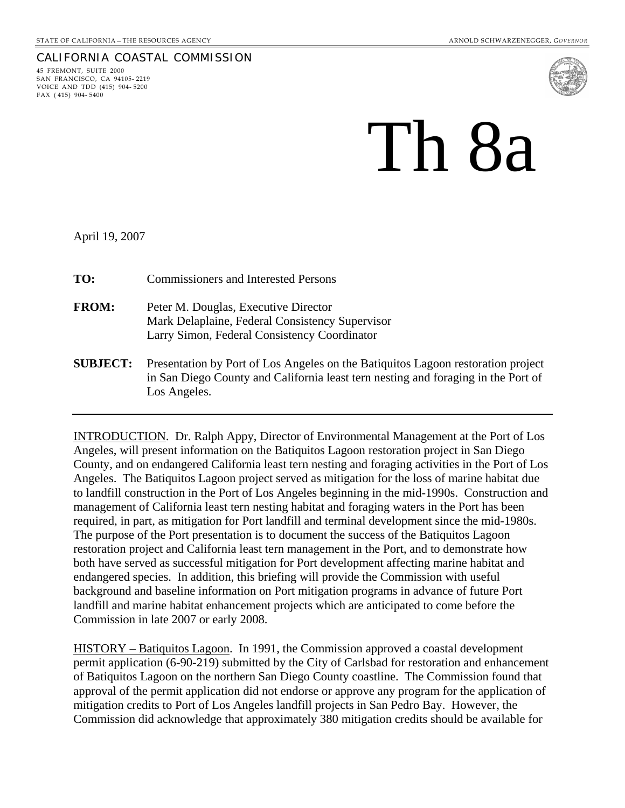## CALIFORNIA COASTAL COMMISSION

45 FREMONT, SUITE 2000 SAN FRANCISCO, CA 94105- 2219 VOICE AND TDD (415) 904- 5200 FAX ( 415) 904- 5400



## Th 8a

April 19, 2007

| TO:             | <b>Commissioners and Interested Persons</b>                                                                                                                                           |
|-----------------|---------------------------------------------------------------------------------------------------------------------------------------------------------------------------------------|
| <b>FROM:</b>    | Peter M. Douglas, Executive Director<br>Mark Delaplaine, Federal Consistency Supervisor<br>Larry Simon, Federal Consistency Coordinator                                               |
| <b>SUBJECT:</b> | Presentation by Port of Los Angeles on the Batiquitos Lagoon restoration project<br>in San Diego County and California least tern nesting and foraging in the Port of<br>Los Angeles. |

INTRODUCTION. Dr. Ralph Appy, Director of Environmental Management at the Port of Los Angeles, will present information on the Batiquitos Lagoon restoration project in San Diego County, and on endangered California least tern nesting and foraging activities in the Port of Los Angeles. The Batiquitos Lagoon project served as mitigation for the loss of marine habitat due to landfill construction in the Port of Los Angeles beginning in the mid-1990s. Construction and management of California least tern nesting habitat and foraging waters in the Port has been required, in part, as mitigation for Port landfill and terminal development since the mid-1980s. The purpose of the Port presentation is to document the success of the Batiquitos Lagoon restoration project and California least tern management in the Port, and to demonstrate how both have served as successful mitigation for Port development affecting marine habitat and endangered species. In addition, this briefing will provide the Commission with useful background and baseline information on Port mitigation programs in advance of future Port landfill and marine habitat enhancement projects which are anticipated to come before the Commission in late 2007 or early 2008.

HISTORY – Batiquitos Lagoon. In 1991, the Commission approved a coastal development permit application (6-90-219) submitted by the City of Carlsbad for restoration and enhancement of Batiquitos Lagoon on the northern San Diego County coastline. The Commission found that approval of the permit application did not endorse or approve any program for the application of mitigation credits to Port of Los Angeles landfill projects in San Pedro Bay. However, the Commission did acknowledge that approximately 380 mitigation credits should be available for